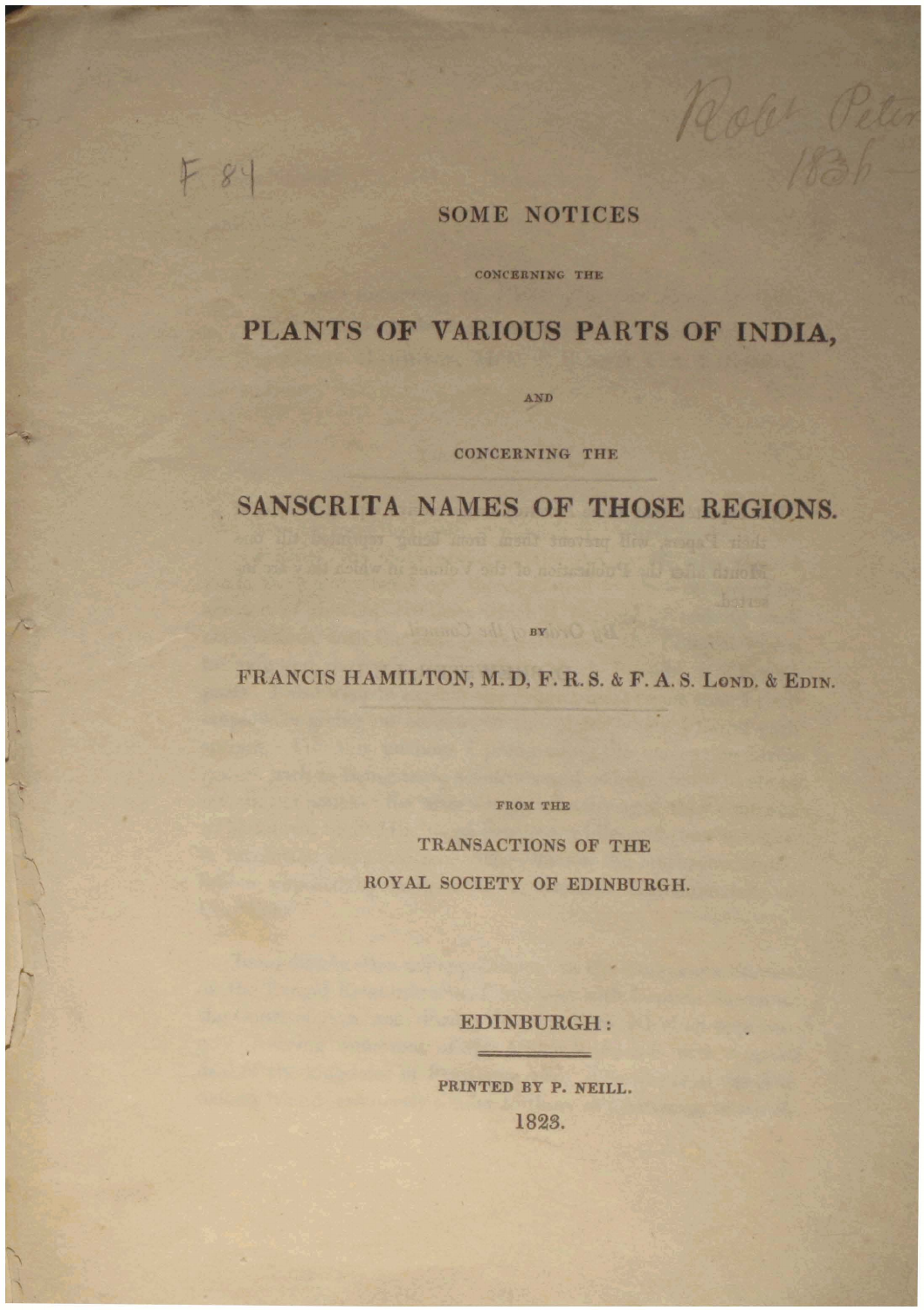## **SOME NOTICES**

Robert Per

CONCERNING THE

## PLANTS OF VARIOUS PARTS OF INDIA,

AND

CONCERNING THE

## SANSCRITA NAMES OF THOSE REGIONS.

FRANCIS HAMILTON, M.D., F.R.S. & F.A.S. LOND. & EDIN.

ROOM OBY NO SE

FROM THE

TRANSACTIONS OF THE ROYAL SOCIETY OF EDINBURGH.

EDINBURGH:

PRINTED BY P. NEILL. 1823.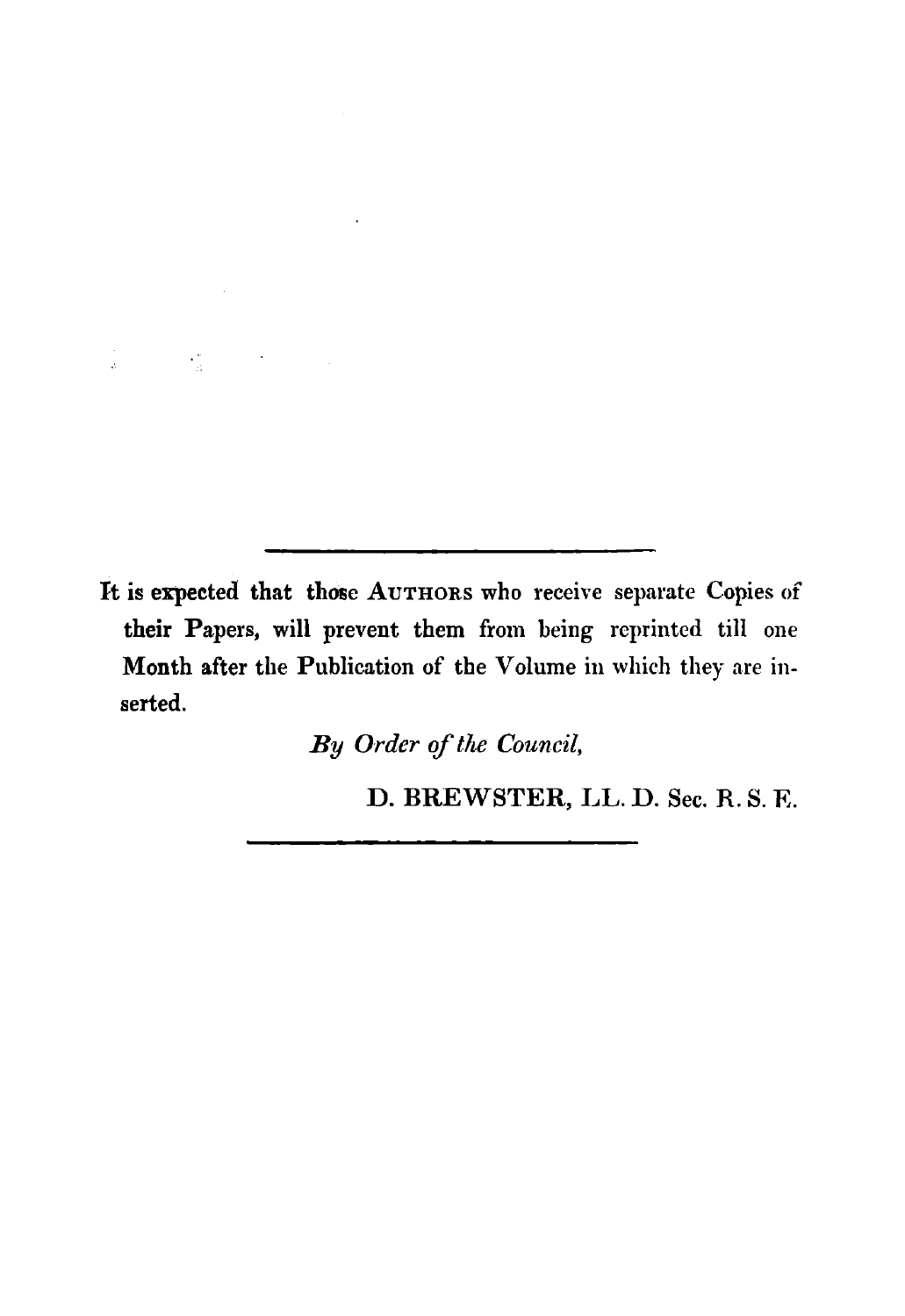**k is expected that tliose AUTHORS who receive separate Copies of**  their Papers, will prevent them from being reprinted till one **Month after the Publication of the Volume in which they are inserted.** 

*By Order* **of** *the Council,* 

D. **BREWSTER, LL. D. Sec. R. S. E.**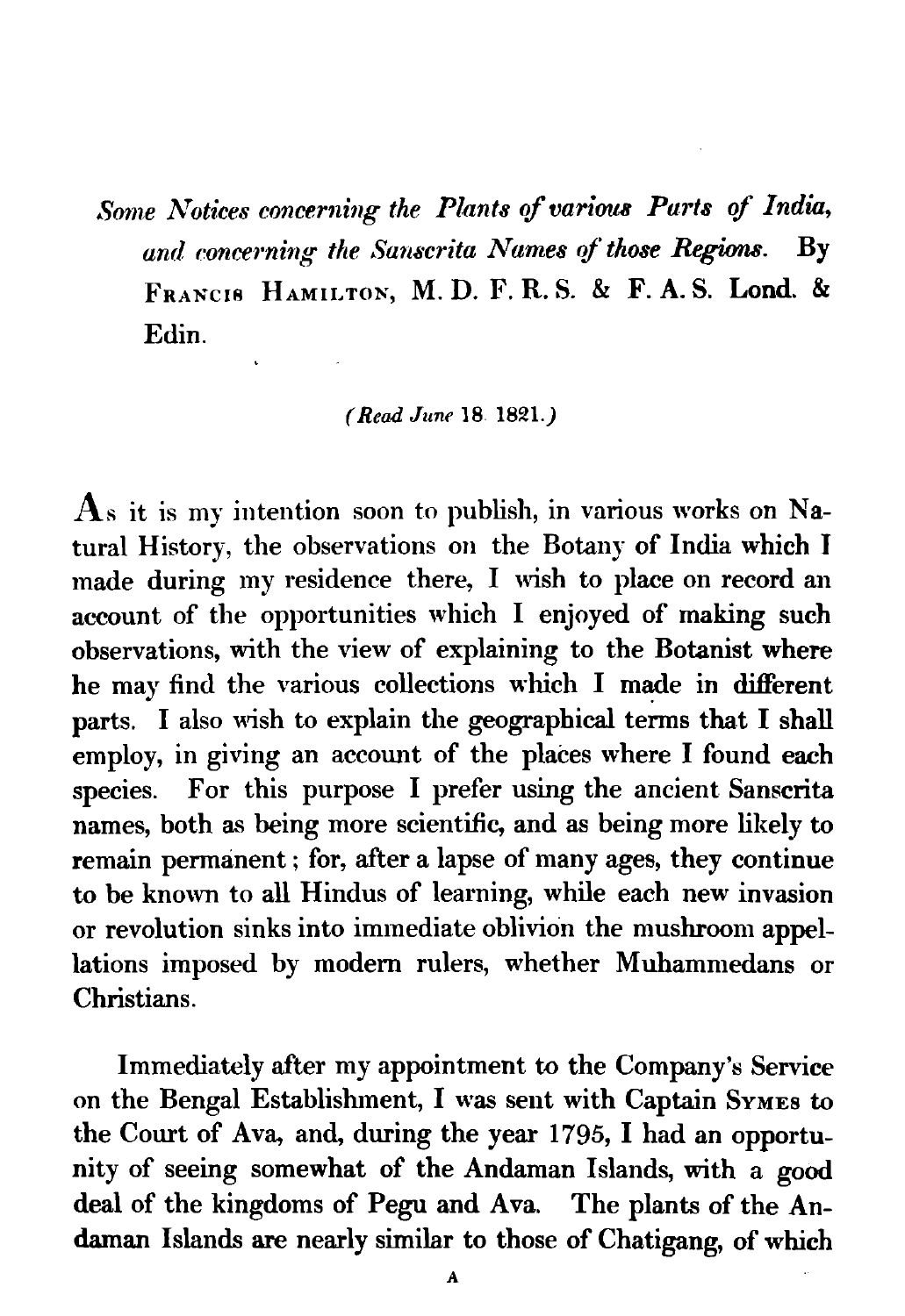Some Notices concerning the Plants of various Purts of India, and concerning the Sanscrita Names of those Regions.  $\mathbf{B}\mathbf{v}$ FRANCIS HAMILTON, M.D. F. R. S. & F. A. S. Lond. & Edin.

## (Read June 18. 1821.)

 $\bf{A}$ s it is my intention soon to publish, in various works on Natural History, the observations on the Botany of India which I made during my residence there, I wish to place on record an account of the opportunities which I enjoyed of making such observations, with the view of explaining to the Botanist where he may find the various collections which I made in different parts. I also wish to explain the geographical terms that I shall employ, in giving an account of the places where I found each species. For this purpose I prefer using the ancient Sanscrita names, both as being more scientific, and as being more likely to remain permanent; for, after a lapse of many ages, they continue to be known to all Hindus of learning, while each new invasion or revolution sinks into immediate oblivion the mushroom appellations imposed by modern rulers, whether Muhammedans or Christians.

Immediately after my appointment to the Company's Service on the Bengal Establishment, I was sent with Captain SYMES to the Court of Ava, and, during the year 1795, I had an opportunity of seeing somewhat of the Andaman Islands, with a good deal of the kingdoms of Pegu and Ava. The plants of the Andaman Islands are nearly similar to those of Chatigang, of which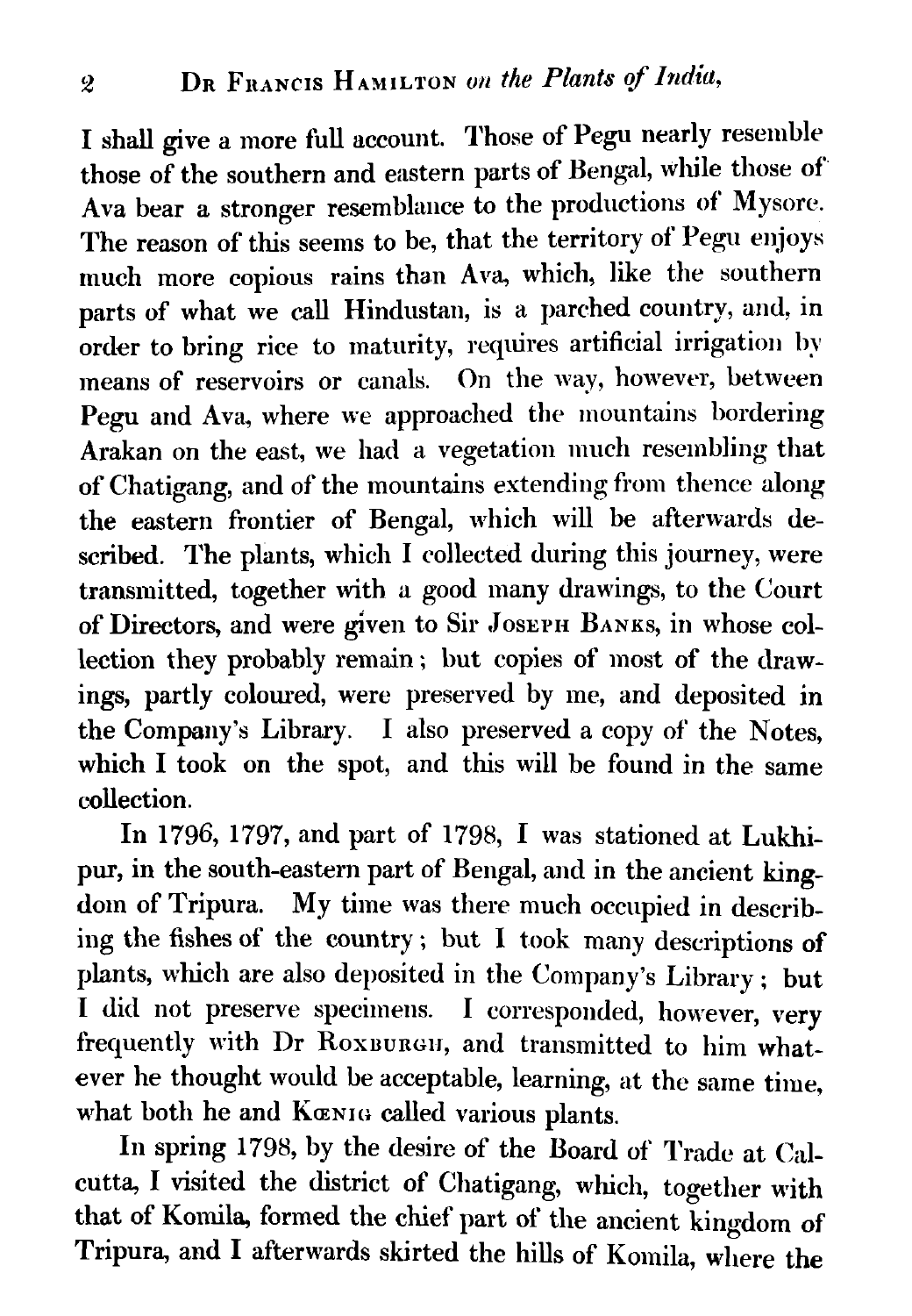I shall give a more full account. Those of Pegu nearly resemble those of the southern and eastern parts of Bengal, while those of Ava bear a stronger resemblance to the productions of Mysore. The reason of this seems to be, that the territory of Pegu enjoys mucl1 more copious rains than **Ava,** which, like the southern parts of what we call Hindustan, is a parched country, and, in order to bring rice to maturity, requires artificial irrigation by means of reservoirs or canals. On the way, however, between Pegu and Ava, where we approached the mountains bordering Arakan on the east, we had a vegetation much resembling that of Chatigang, and of the mountains extending from thence along the eastern frontier of Bengal, which will be afterwards described. The plants, which I collected during this journey, were transmitted, together with a good many drawings, to the Court of Directors, and were given to Sir Joseph BANKS, in whose collection they probably remain; but copies of most of the drawings, partly coloured, were preserved by me, and deposited in the Company's Library. I also preserved a copy of the Notes, which I took on the spot, and this will be found in the same collection.

In 1796, 1797, and part of 1798, I was stationed at Lukhi**pur,** in the south-eastern part of Bengal, and in the ancient **king**dom of Tripura. My time was there much occupied in describing the fishes of the country ; but 1 took many descriptions of plants, which are also deposited in the Company's Library; but I did not preserve specimens. I corresponded, however, very frequently with Dr ROXBURGH, and transmitted to him whatever he thought would be acceptable, learning, at the **snrne** time, what both he and K**ENIG** called various plants.

In spring 1798, by the desire of the Board of Trade at Calcutta, I visited the district of Chatigang, which, together with that of Komila, formed the chief part of the ancient kingdom of Tripura, and I afterwards skirted the hills of Komila, wllere the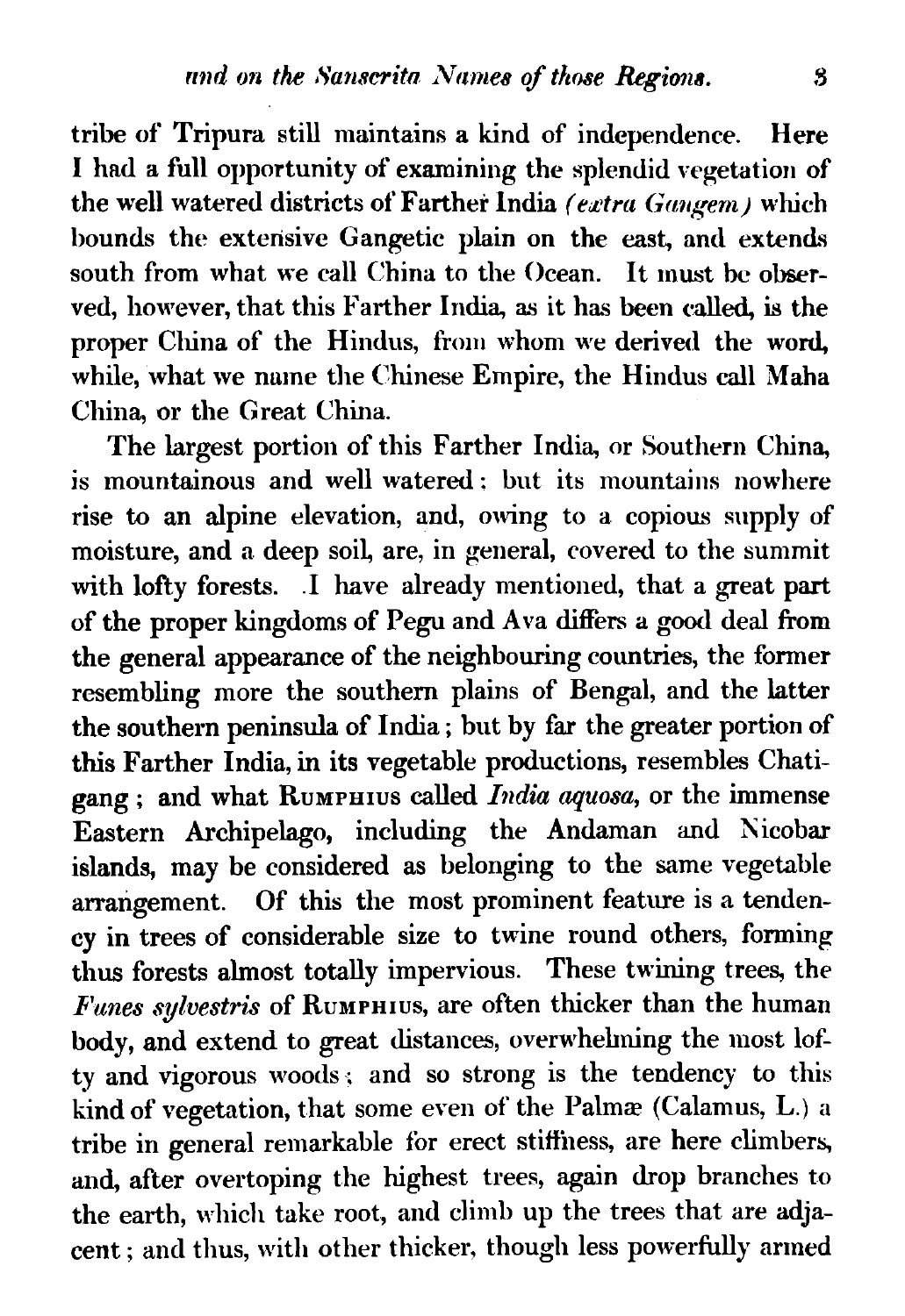tribe of Tripura still maintains a kind of independence. Here I had a full opportunity of examining the splendid vegetation of the well watered districts of Farther India *(extra Gangem)* which bounds the extensive Gangetic plain on the east, and extends south from what we call China to the Ocean. It must be observed, however, that this Farther India, as it has been called, is the proper China of the Hindus, from whom we derived the word, while, what we name the Chinese Empire, the Hindus call Maha China, or the Great China.

The largest portion of this Farther India, or Southern China, is mountainous and well watered: but its mountains nowhere rise to an alpine elevation, and, owing to a copious supply of moisture, and a deep soil, are, in general, covered to the summit with lofty forests. .I have already mentioned, that a great part of the proper kingdoms of Pegu and Ava **differs** a good deal **from**  the general appearance of the neighbouring countries, the former resembling more the southern plains of Bengal, and the latter the southern peninsula of India ; but by far the greater portion of this Farther India, in its vegetable productions, resembles Chatigang ; and what RUMPHIUS called India aquosa, or the immense Eastern Archipelago, including the Andaman and Sicobar islands, may be considered as belonging to the same vegetable arrangement. Of this the most prominent feature is a tendency in trees of considerable size to twine round others, forming thus forests almost totally impervious. These twining trees, the E'unes syluestris of RUMPHIUS, are often thicker than the human body, and extend to great distances, overwhelming the most lofty and vigorous woods; and so strong is the tendency to this kind of vegetation, that some even of the Palmæ (Calamus, L.) a tribe in general remarkable for erect stiffness, are here climbers, and, after overtoping the highest trees, again drop branches to the earth, which take root, and climb up the trees that are adjacent; and thus, with other thicker, though less powerfully armed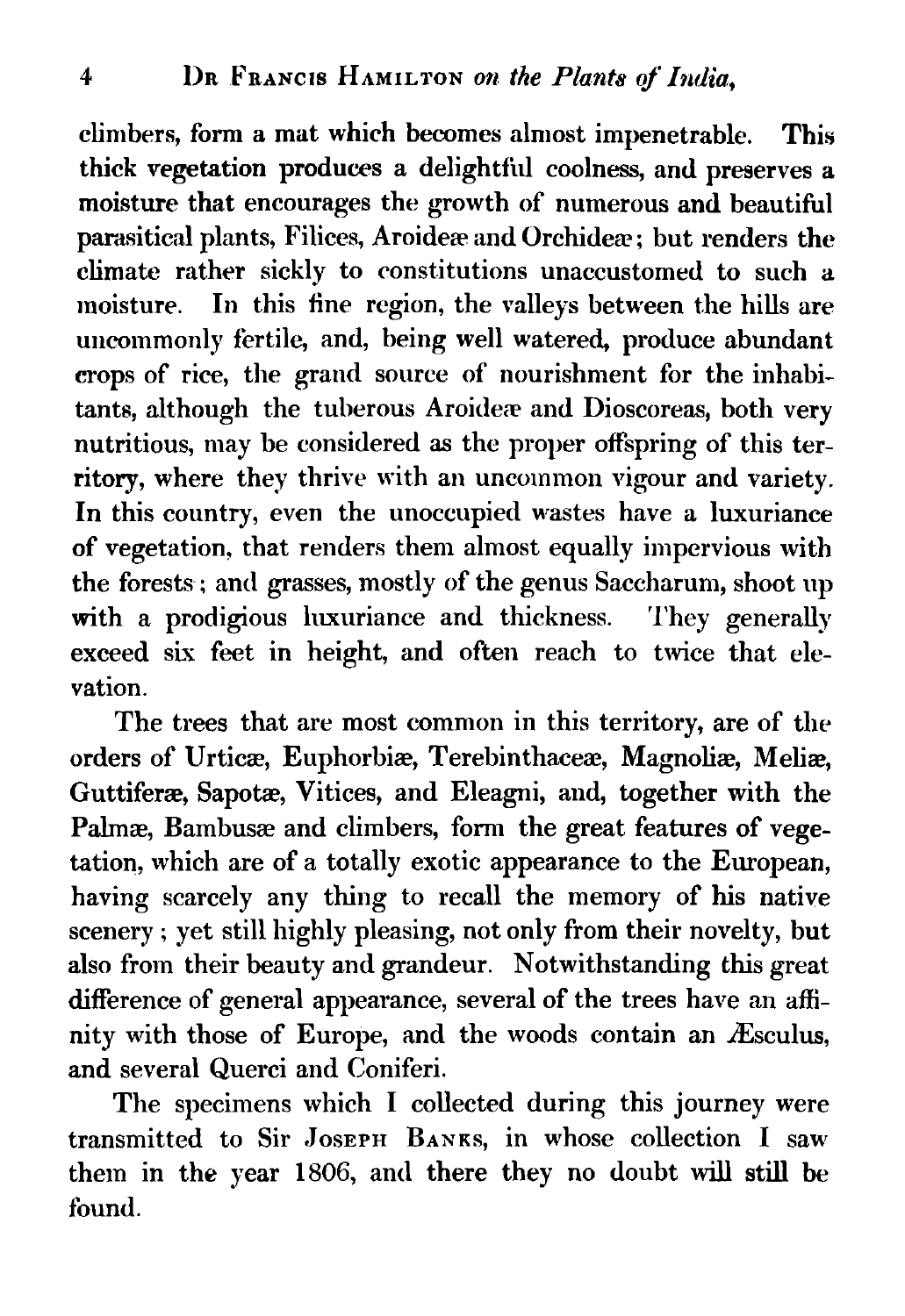climbers, form a mat which becomes almost impenetrable. This thick vegetation produces a delightfill coolness, and preserves a moisture that encourages the growth of numerous and beautiful parasitical plants, Filices, Aroideæ and Orchideæ; but renders the climate rather sickly to constitutions unaccustomed to such a moisture. In this fine region, the valleys between the hills are uncommonly fertile, and, being well watered, produce abundant crops of rice, tlie grand source of nourishment for the inhabitants, although the tuberous Aroidex and Dioscoreas, both very nutritious, may be considered as the proper offspring of this territory, where they thrive with an uncommon vigour and variety. In this country, even the unoccupied wastes have a luxuriance of vegetation, that renders them almost equally impervious with the forests ; and grasses, mostly of the genus Saccharum, shoot up with a prodigious luxuriance and thickness. They generally exceed six feet in height, and often reach to twice that elevation.

The trees that are most common in this territory, are of the orders of Urtica, Euphorbia, Terebinthacea, Magnolia, Melia, Guttiferae, Sapotz, Vitices, and Eleagni, and, together with the Palmæ, Bambusæ and climbers, form the great features of vegetation, which are of a totally exotic appearance to the European, having scarcely any thing to recall the memory of his native scenery ; yet still highly pleasing, not only from their novelty, but also from their beauty and grandeur. Notwithstanding this great difference of general appearance, several of the trees have an affinity with those of Europe, and the woods contain an Æsculus, and several Querci and Coniferi.

The specimens which I collected during this journey were transmitted to Sir JOSEPH BANKS, in whose collection I saw them in the year 1806, and there they no doubt will still be found.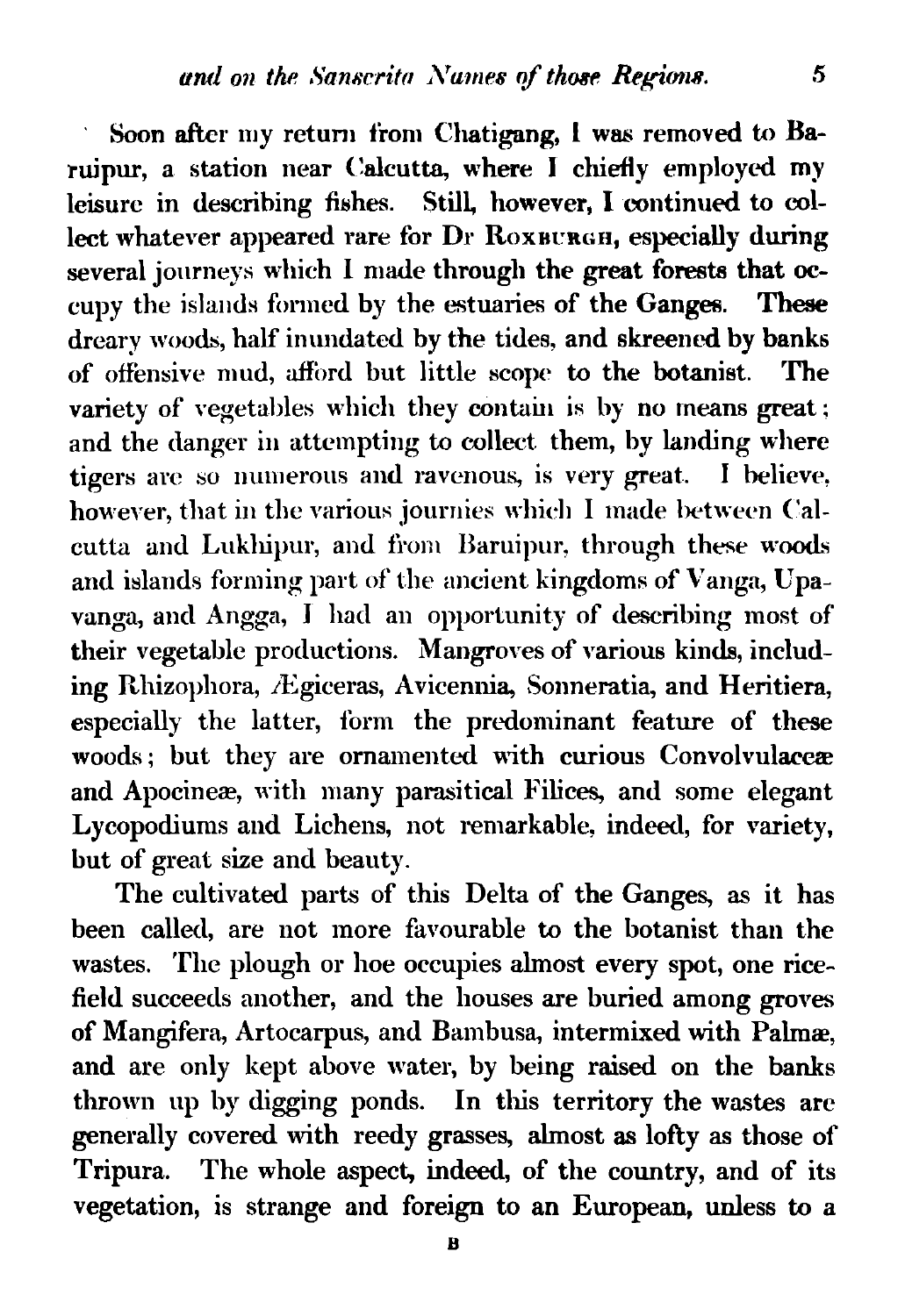Soon after my return from Chatigang, I was removed to Baruipur, a station near Calcutta, where I chiefly employed my leisure in describing fishes. Still, however, I continued to collect whatever appeared rare for Dr ROXBURGH, especially during several journeys which I made through the great forests that occupy the islands formed by the estuaries of the Ganges. These dreary woods, half inundated by the tides, and skreened by banks of offensive mud, afford but little scope to the botanist. The variety of vegetables which they contain is by no means great; and the danger in attempting to collect them, by landing where tigers are so numerous and ravenous, is very great. I believe, however, that in the various journies which I made between Calcutta and Lukhipur, and from Baruipur, through these woods and islands forming part of the ancient kingdoms of Vanga, Upavanga, and Angga, I had an opportunity of describing most of their vegetable productions. Mangroves of various kinds, including Rhizophora, Ægiceras, Avicennia, Sonneratia, and Heritiera, especially the latter, form the predominant feature of these woods; but they are ornamented with curious Convolvulaceae and Apocineæ, with many parasitical Filices, and some elegant Lycopodiums and Lichens, not remarkable, indeed, for variety, but of great size and beauty.

The cultivated parts of this Delta of the Ganges, as it has been called, are not more favourable to the botanist than the wastes. The plough or hoe occupies almost every spot, one ricefield succeeds another, and the houses are buried among groves of Mangifera, Artocarpus, and Bambusa, intermixed with Palmæ, and are only kept above water, by being raised on the banks thrown up by digging ponds. In this territory the wastes are generally covered with reedy grasses, almost as lofty as those of Tripura. The whole aspect, indeed, of the country, and of its vegetation, is strange and foreign to an European, unless to a

 $\mathbf{B}$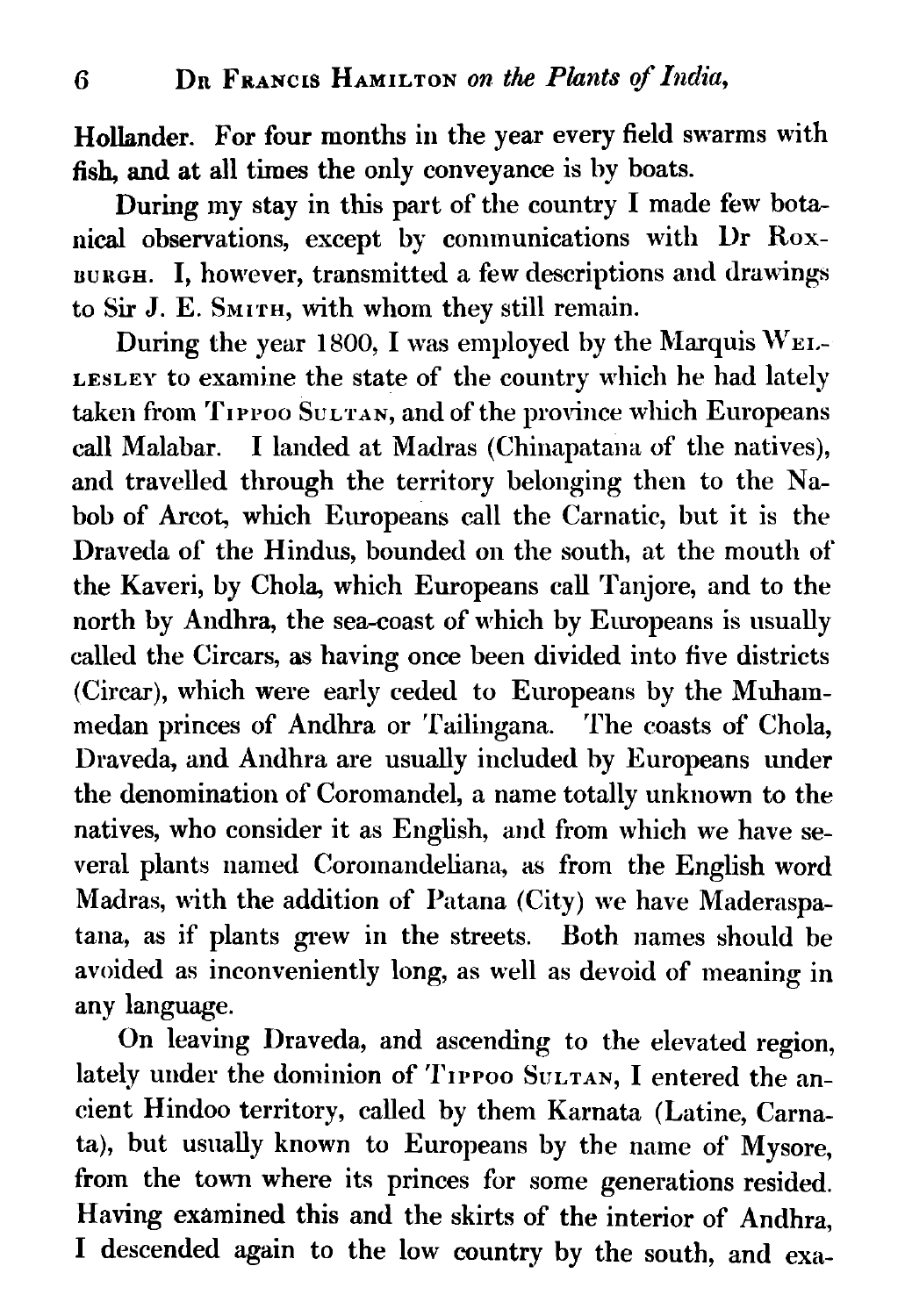Hollander. For four months in the year every field swarms with fish, and at all times the only conveyance is by boats.

During my stay in this part of the country I made few botanical observations, except by communications with Dr Rox-**BURGH.** I, however, transmitted a few descriptions and drawings to Sir J. E. **SMITH,** with whom they still remain.

During the year 1800, I was employed by the Marquis  $W_{EL}$ -LESLEY to examine the state of the country which he had lately taken from TIPPOO SULTAN, and of the province which Europeans call Malabar. I landed at Madras (Chinapatana of the natives), and travelled through the territory belonging then to the Nabob of Arcot, which Europeans call the Carnatic, but it is the Draveda of the Hindus, bounded on the south, at the mouth of the Kaveri, by Chola, which Europeans call Tanjore, and to the north by Andhra, the sea-coast of which by Europeans is usually called the Circars, **as** having once been divided into five districts (Circar), which were early ceded to Europeans by the Muhammedan princes of Andhra or Tailingana. The coasts of Chola, Draveda, and Andhra are usually included by Europeans under the denomination of Coromandel, a name totally unknown to the natives, who consider it as English, and from which we have several plants named Coromandeliana, as from the English word Madras, with the addition of Patana (City) we have Maderaspatana, **as** if plants grew in the streets. Both names should be avoided as inconveniently long, as well as devoid of meaning in any language.

On leaving Draveda, and ascending to the elevated region, lately under the dominion of TIPPOO SULTAN, I entered the ancient Hindoo territory, called by them Karnata (Latine, Carna**ta),** but usually known to Europeans by the name of Mysore, from the town where its princes for some generations resided. Having examined this and the skirts of the interior of Andhra, I descended again to the low country by the south, and exa-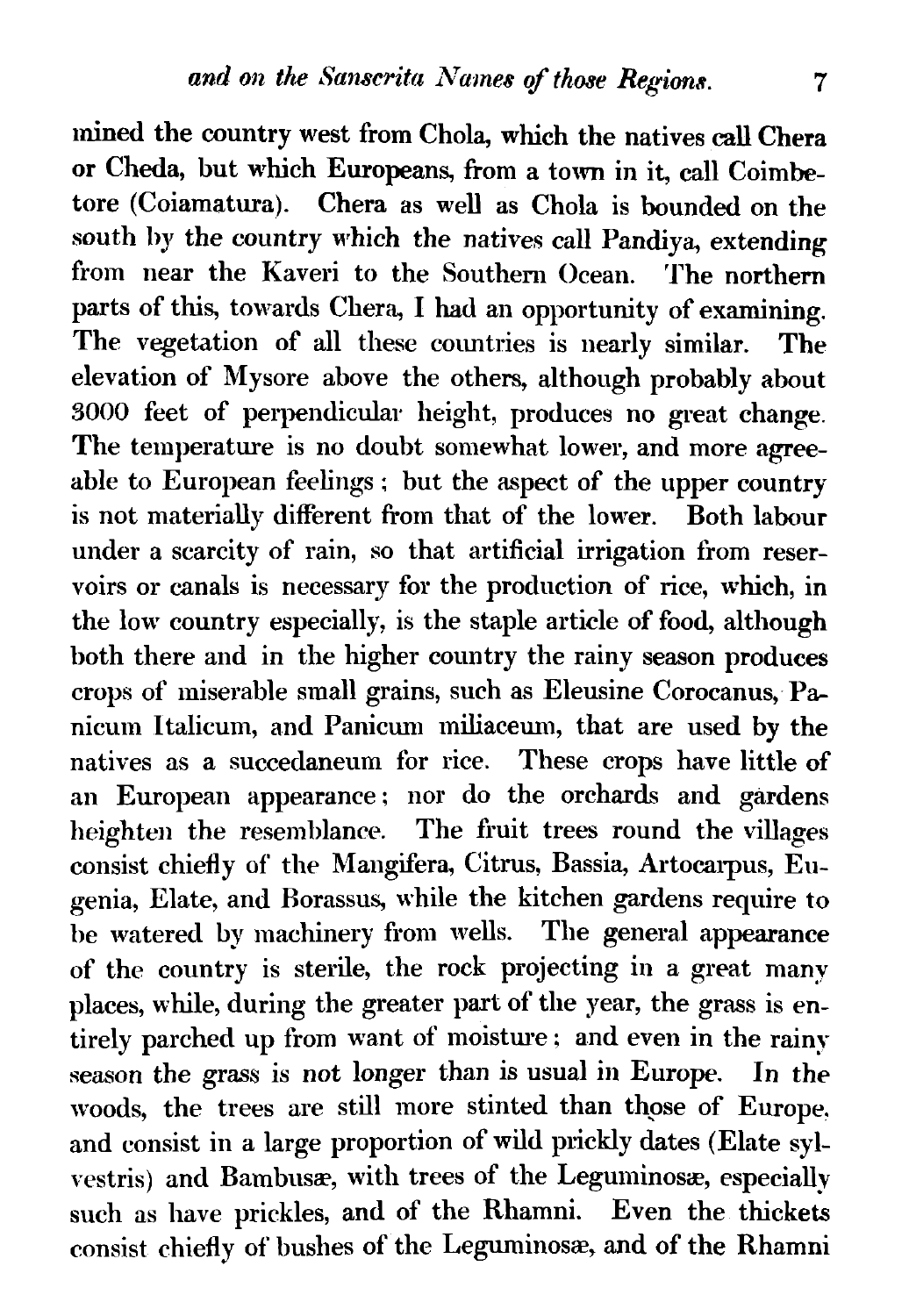**mind** the country west from Chola, which the natives **call** Chera or Cheda, but which Europeans, from a town in it, call Coimbetore (Coiamatura). Chera as well as Chola is bounded on the south **by** the country **which** the natives call Pandiya, extending from near the Kaveri to the Southern Ocean. The northern parts of this, towards Chern, I had an opportunity of examining. The vegetation of all these countries is nearly similar. The elevation of Mysore above the others, although probably about 3000 feet of peiyendicular height, produces no great change. The temperature is no doubt somewhat lower, and more agreeable to European feelings ; but the aspect of the upper country is not materially different from that of the lower. Both labour under a scarcity of rain, so that artificial irrigation from reservoirs or canals is necessary for the production of rice, which, in the low country especially, is the staple article of food, although both there and in the higher country the rainy season produces crops of miserable small grains, such as Eleusine Corocanus, **Ya**  nicum Italicum, and Panicum miliaceum, that are used by the natives as a succedaneum for rice. These crops have little of an European appearance ; nor do the orchards and gardens heighten the resemblance. The fruit trees round the villages consist chiefly of the Mangifera, Citrus, Bassia, Artocarpus, Eugenia, Elate, and Borassus, while the kitchen gardens require to be watered by machinery from wells. The general appearance of the country is sterile, the rock projecting in a great many places, while, during the greater part of the year, the grass is entirely parched up from want of moisture ; and even in the rainy season the grass is not longer than is usual in Europe. In **the**  woods, the trees are still more stinted than those of Europe. and consist in a large proportion of wild prickly dates (Elate sylvestris) and Bambusa, with trees of the Leguminosa, especially such as have prickles, and of the Rhamni. Even the thickets consist chiefly of bushes of the Leguminosæ, and of the Rhamni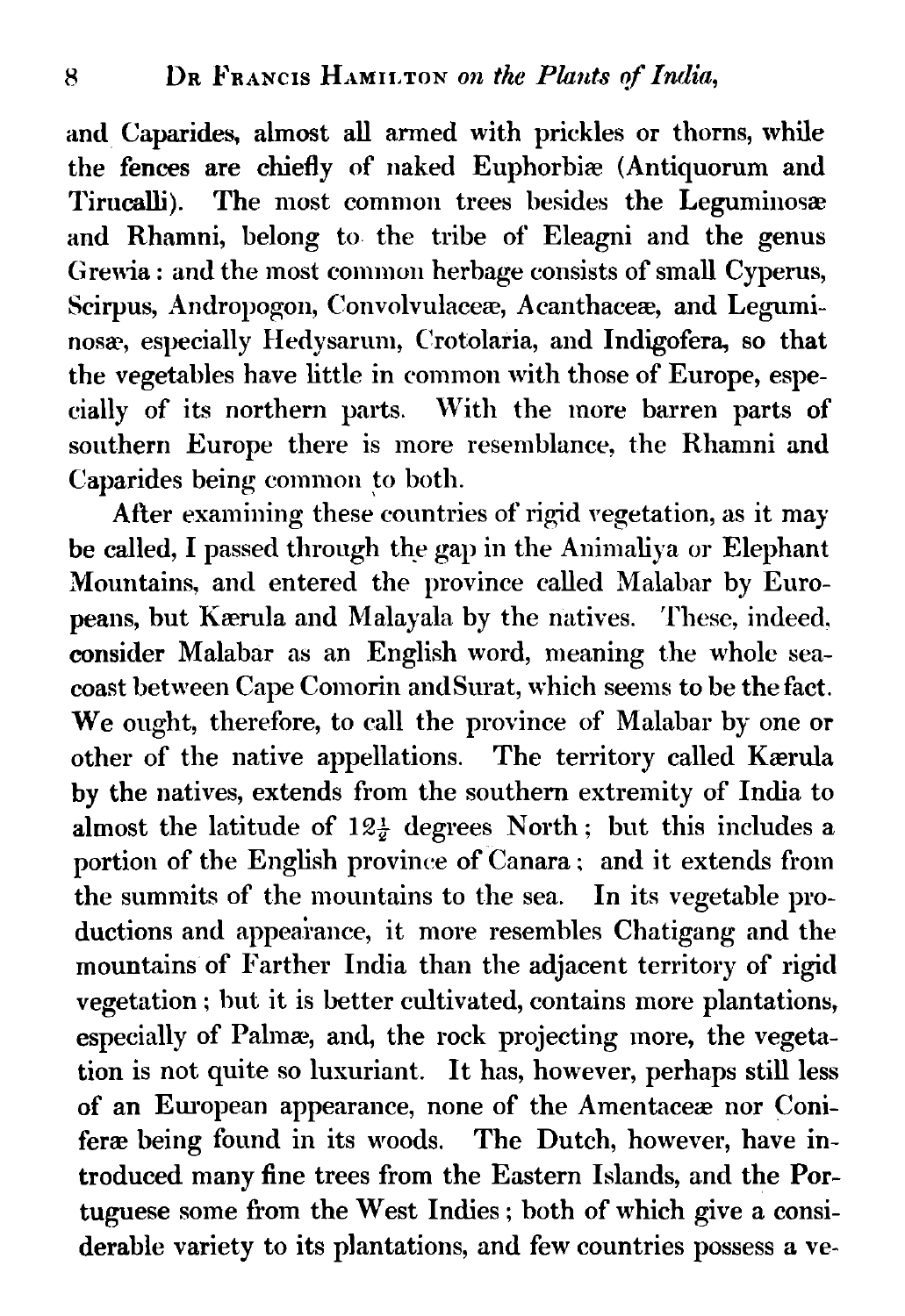and Caparides, almost all armed with prickles or thorns, while the fences are chiefly of naked Euphorbiae (Antiquorum and Tirucalli). The most common trees besides the Leguminosæ and Rhamni, belong to the tribe of Eleagni and the genus Grewia : and the most common herbage consists of small Cyperus, Scirpus, Andropogon, Convolvulaceæ, Acanthaceæ, and Leguminosæ, especially Hedysarum, Crotolaria, and Indigofera, so that the vegetables have little in common with those of Europe, especially of its northern parts. With the rnore barren parts of southern Europe there is more resemblance, the Rhamni and Caparides being common to both.

After examining these countries of rigid vegetation, as it may be called, I passed through the gap in the Animaliya or Elephant Mountains, and entered the province called Malabar by Europeans, but Kærula and Malayala by the natives. These, indeed, consider Malabar as an English word, meaning the whole seacoast between Cape Comorin and Surat, which seems to be the fact. We ought, therefore, to call the province of Malabar by one or other of the native appellations. The territory called Kærula by the natives, extends from the southern extremity of India to almost the latitude of  $12\frac{1}{8}$  degrees North; but this includes a portion of the English province of Canara; and it extends from the summits of the mountains to the sea. In its vegetable productions and appearance, it more resembles Chatigang and the mountains of Farther India than the adjacent territory of rigid vegetation ; but it is better cultivated, contains more plantations, especially of Palmæ, and, the rock projecting more, the vegetation is not quite so lusuriant. It has, however, perhaps still less of an European appearance, none of the Amentaceae nor Coniferæ being found in its woods. The Dutch, however, have introduced many fine trees from the Eastern Islands, and the Portuguese some from the West Indies ; both of which give a considerable variety to its plantations, and few countries possess a ve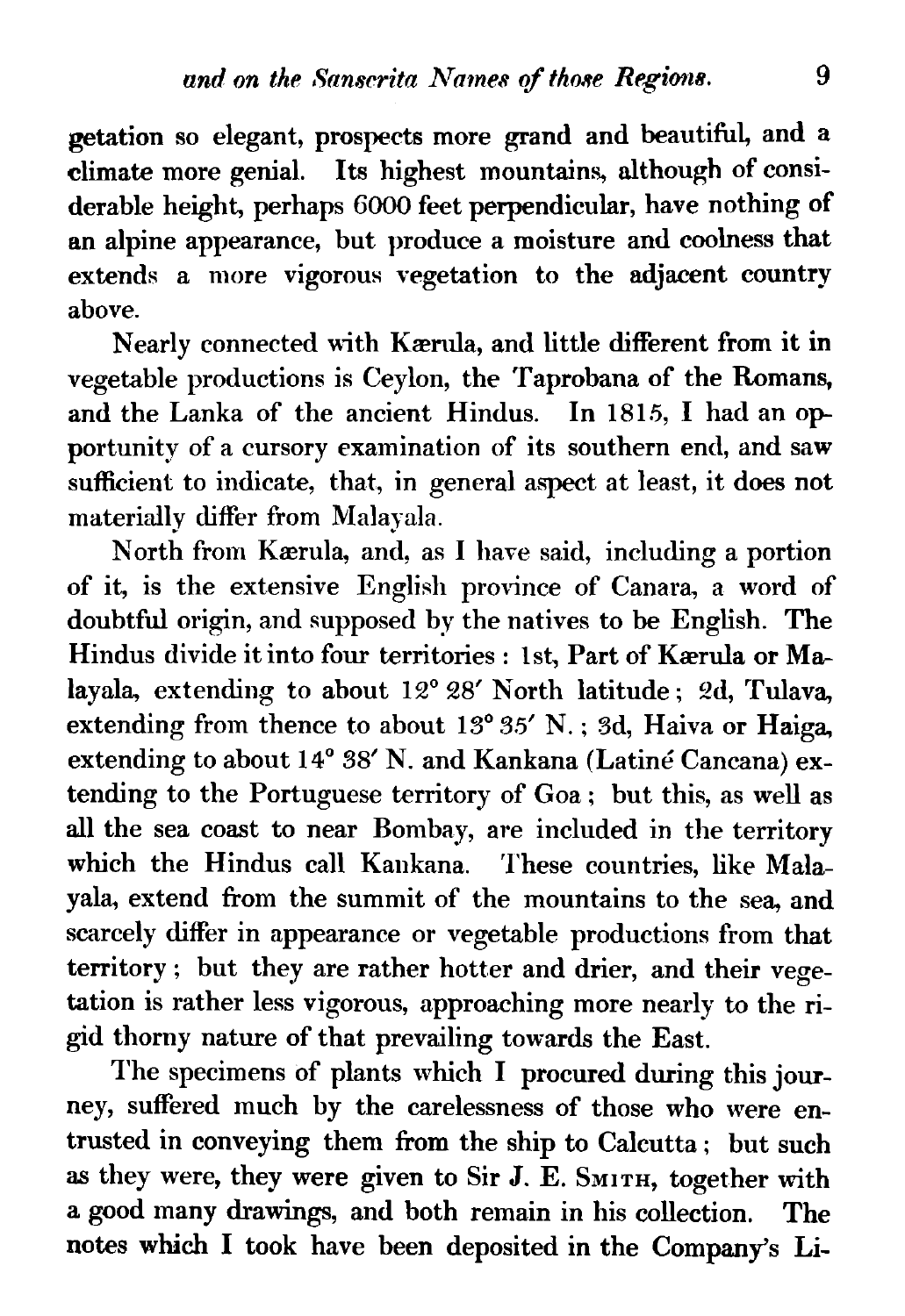getation so elegant, prospects more grand and beautiful, and a climate more genial. Its highest mountains, although of considerable height, perhaps **6000** feet perpendicular, have nothing of an alpine appearance, but produce a moisture and coolness that extends a more vigorous vegetation to the adjacent country above.

Nearly connected with Kærula, and little different from it in vegetable productions is Ceylon, the Taprobana of the Romans, and the Lanka of the ancient Hindus. In 1815, I had an opportunity of a cursory examination of its southern end, and saw sufficient to indicate, that, in general aspect at least, it does not materially differ from Malayala.

North from Kærula, and, as I have said, including a portion of it, is the extensive English province of Canara, a word of doubtful origin, and supposed by the natives to be English. The Hindus divide it into four territories : 1st, Part of Kærula or Malayala, extending to about 12° 28' North latitude; 2d, Tulava, extending from thence to about 13° 35' N. ; 3d, Haiva or Haiga, extending to about 14° 38' N. and Kankana (Latiné Cancana) extending to the Portuguese territory of Goa ; but this, as well as all the sea coast to near Bombay, are included in the territory which the Hindus call Kankana. These countries, like Malayala, extend from the summit of the mountains to the sea, and scarcely differ in appearance or vegetable productions from that territory ; but they are rather hotter and drier, and their vegetation is rather less vigorous, approaching more nearly to the rigid thorny nature of that prevailing towards the East.

The specimens of plants which I procured during this journey, suffered much by the carelessness of those who were entrusted in conveying them from the ship to Calcutta ; but such as they were, they were given to Sir J. E. SMITH, together with a good many drawings, and both remain in his collection. The notes which I took have been deposited in the Company's Li-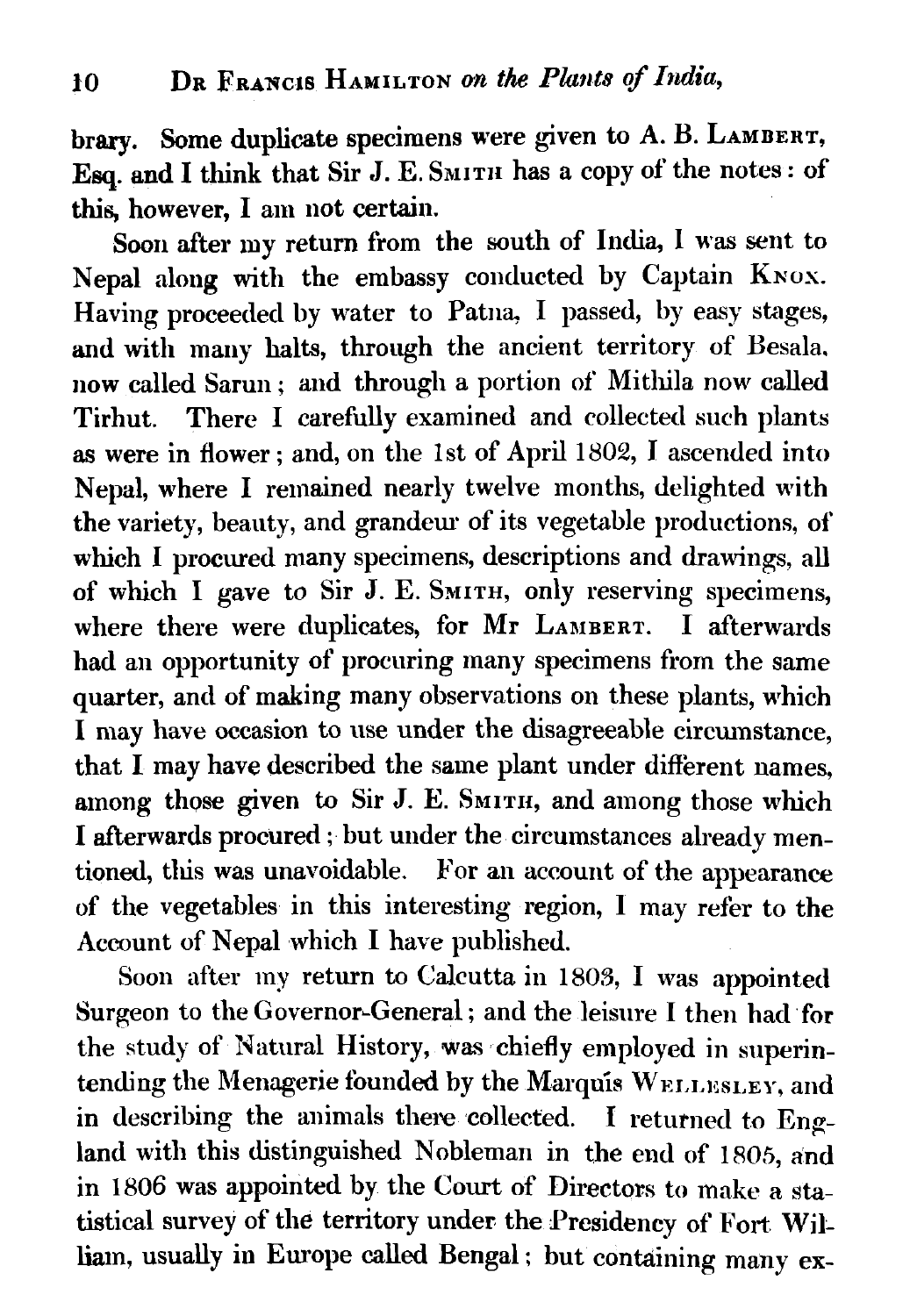brary. Some duplicate specimens were given to A. B. LAMBERT, **Esq. and** I think that Sir J. E. **SMITH** has a copy of the notes : of this, however, I am not certain.

Soon after my return from the south of India, I was sent to Nepal along with the embassy conducted by Captain KNOS. Having proceeded by water to Patna, I passed, by easy stages, and with many halts, through the ancient territory of Besala. now called Sarun; and through a portion of Mithila now called Tirhut. There I carefully examined and collected such plants as were in flower ; and, on the 1st of April 1802, **J** ascended into Nepal, where I remained nearly twelve months, delighted with the variety, beauty, and grandeur of its vegetable productions, of which I procured many specimens, descriptions and drawings, all of which I gave to Sir J. E. SMITH, only reserving specimens, where there were duplicates, for Mr LAMBERT. I afterwards had an opportunity of procuring many specimens from the same quarter, and of making many observations on these plants, which I may have occasion to use under the disagreeable circumstance, that I may have described the same plant under diflerent names, among those given to Sir J. E. SMITH, and among those which I afterwards procured ; but under the circumstances already mentioned, this was unavoidable. For an account of the appearance of the vegetables in this interesting region, 1 may refer to the Account of Nepal which I have published.

Soon after my return to Calcutta in 1803, I was appointed Surgeon to the Governor~General ; and the leisure I then had for the study of Natural History, was chiefly employed in superintending the Menagerie founded by the Marquis WELLESLEY, and in describing the animals there collected. I returned to England with this distinguished Nobleman in the end of 1805, and in 1806 was appointed by the Court of Directors to make a statistical survey of the territory under the Presidency of **Fort Wjl**liam, usually in Europe called Bengal : but containing many ex-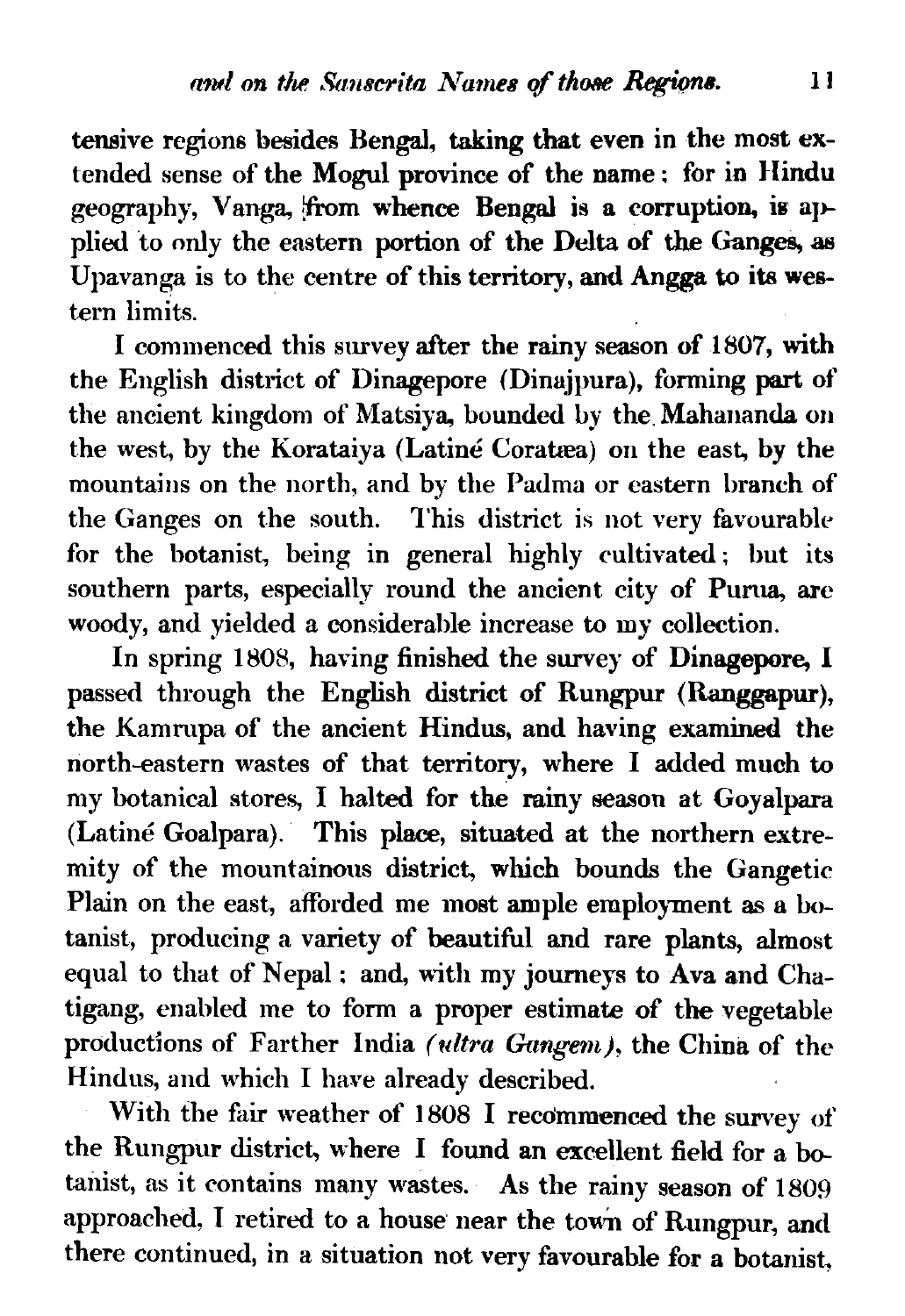temive regions besides Bengal, **taking** that **even** in the most **ex**tended sense of the Mogul province of the name : for in Hindu geography, Vanga, *from* whence Bengal is a corruption, is applied to only the eastern portion of the Delta of the Ganges, as Upavanga is to the centre of this territory, and Angga to its western limits.

I commenced this survey after the rainy season of 1807, with the English district of Dinagepore (Dinajpura), forming part of the ancient kingdom of Matsiya, bounded by the Mahananda on the west, by the Korataiya (Latiné Coratæa) on the east, by the mountains on the north, and by the Padma or eastern branch of the Ganges on the south. This district is not very favourable for the botanist, being in general highly cultivated; but its southern parts, especially round the ancient city of Purua, are woody, and yielded a considerable increase to my collection.

In spring 1808, having finished the survey of Dinagepore, I passed through the English district of Rungpur **(Ranggapur),**  the Kamrupa of the ancient Hindus, and having examined the north-eastern wastes of that territory, where I added much to my botanical stores, I halted for the rainy season at Goyalpara (Latiné Goalpara). This place, situated at the northern extremity of the mountainous district, which bounds the Gangetic Plain on the east, afforded me most ample employment as a botanist, producing a variety of beautiftl **and** rare plants, almost equal to that of Nepal : and, with my journeys to Ava and Chatigang, enabled me to form a proper estimate of the vegetable productions of Farther India *(ultra Gangem)*, the China of the Hindus, and which I have already described.

With the fair weather of 1808 I recommenced the survey of the Rungpur district, where I found an excellent field for a botanist, as it contains inariy wastes. As the rainy season of **1809**  approached. I retired to a house near the town of Rungpur, and there continued, in a situation not very favourable for a botanist,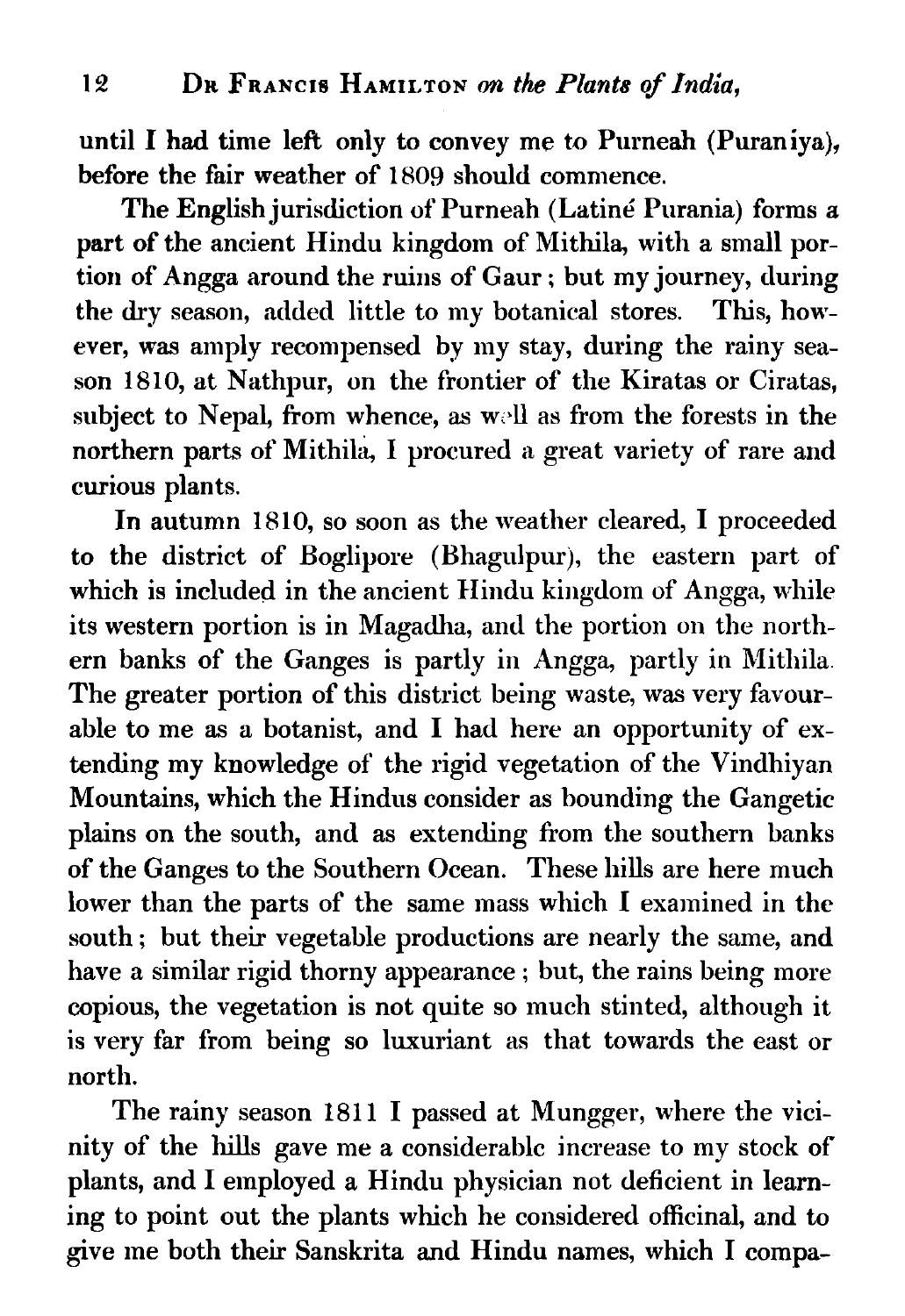until I had time left only to convey me **to** Purneah (Puraniya), before the fair weather of 1809 should commence.

The English jurisdiction of Purneah (Latiné Purania) forms a part of the ancient Hindu kingdom of Mithila, with a small portion of Angga around the ruins of Gaur; but my journey, during the dry season, added little to my botanical stores. This, however, was amply recompensed by my stay, during the rainy season 1810, at Nathpur, on the frontier of the Kiratas or Ciratas, subject to Nepal, from whence, as well as from the forests in the northern parts of Mithila, I procured a great variety of rare and curious plants.

In autumn 1810, so soon as the weather cleared, I proceeded to the district of Boglipore (Bhagulpur), the eastern part of which is included in the ancient Hindu kingdom of Angga, while its western portion is in Magadha, and the portion on the northern banks of the Ganges is partly in Angga, partly in Mithila. The greater portion of this district being waste, was very favourable to me as a botanist, and I had here an opportunity of extending my knowledge of the rigid vegetation of the Vindhiyan Mountains, which the Hindus consider as bounding the Gangetic plains on the south, and as extending from the southern banks of the Ganges to the Southern Ocean. These hills are here much lower than the parts of the same mass which I examined in the south ; but their vegetable productions are nearly the same, and have a similar rigid thorny appearance ; but, the rains being more copious, the vegetation is not quite so much stinted, although it is very far from being so luxuriant as that towards the east or north.

The rainy season 1811 I passed at Mungger, where the vicinity of the hills gave me a considerablc increase to my stock of plants, and I employed a Hindu physician not deficient in learning to point out the plants which he considered officinal, and to give me both their Sanskrita and Hindu names, which I compa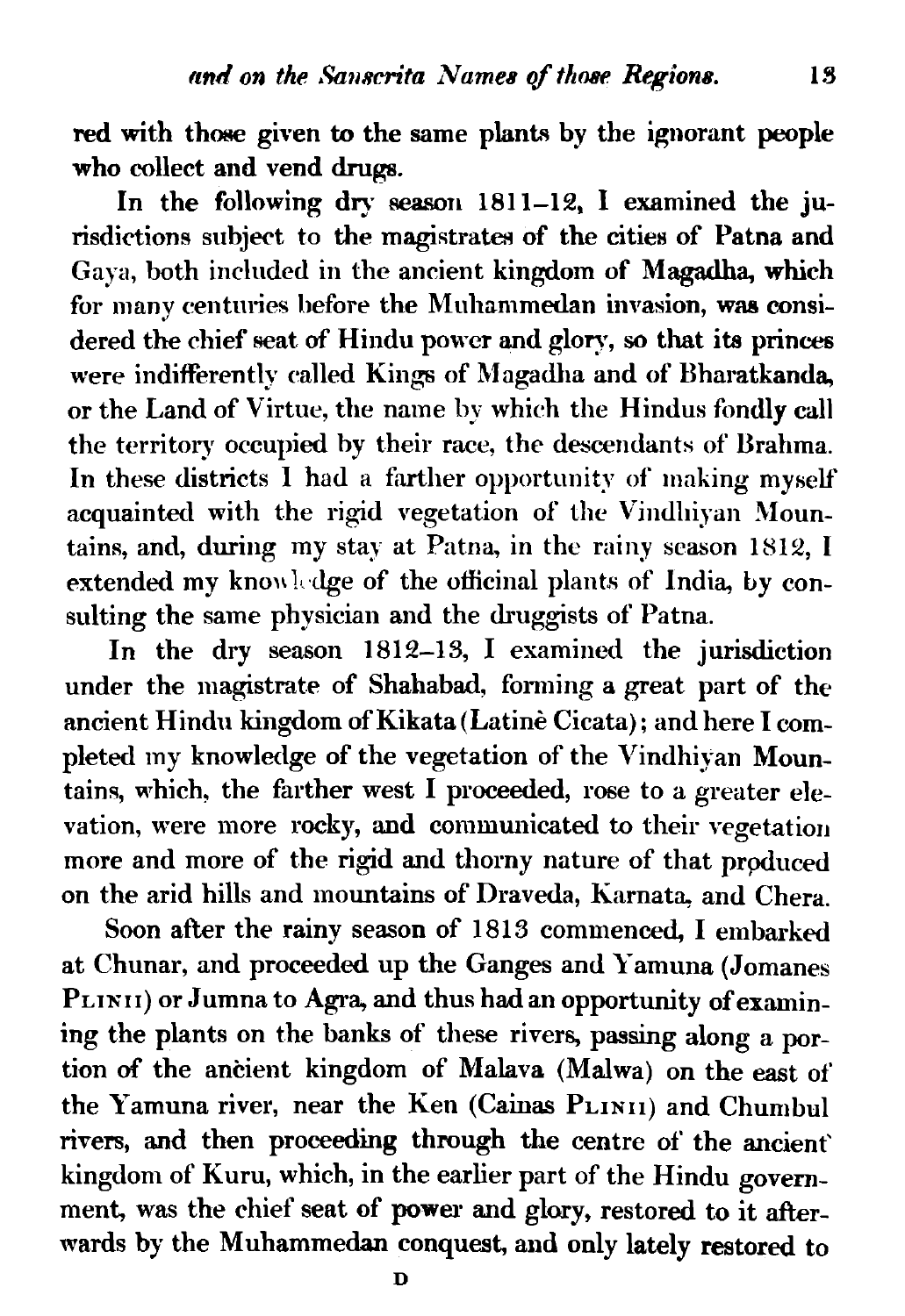red with those given to the same plants by the ignorant people who collect and vend drugs.

In the following dry season 1811-12, I examined the jurisdictions subject to the magistrates of the cities of Patna and Gaya, both included in the ancient kingdom of Magadha, which for many centuries before the Muhammedan invasion, was considered the chief seat of Hindu power and glory, so that its princes were indifferently called Kings of Magadha and of Bharatkanda, or the Land of Virtue, the name by which the Hindus fondly call the territory occupied by their race, the descendants of Brahma. In these districts I had a farther opportunity of making myself acquainted with the rigid vegetation of the Vindhiyan Mountains, and, during my stay at Patna, in the rainy season 1812, I extended my knowledge of the officinal plants of India, by consulting the same physician and the druggists of Patna.

In the dry season 1812-13, I examined the jurisdiction under the magistrate of Shahabad, forming a great part of the ancient Hindu kingdom of Kikata (Latinè Cicata); and here I completed my knowledge of the vegetation of the Vindhiyan Mountains, which, the farther west  $\tilde{I}$  proceeded, rose to a greater elevation, were more rocky, and communicated to their vegetation more and more of the rigid and thorny nature of that produced on the arid hills and mountains of Draveda, Karnata, and Chera.

Soon after the rainy season of 1813 commenced, I embarked at Chunar, and proceeded up the Ganges and Yamuna (Jomanes PLINII) or Jumna to Agra, and thus had an opportunity of examining the plants on the banks of these rivers, passing along a portion of the ancient kingdom of Malava (Malwa) on the east of the Yamuna river, near the Ken (Cainas PLINII) and Chumbul rivers, and then proceeding through the centre of the ancient kingdom of Kuru, which, in the earlier part of the Hindu government, was the chief seat of power and glory, restored to it afterwards by the Muhammedan conquest, and only lately restored to

D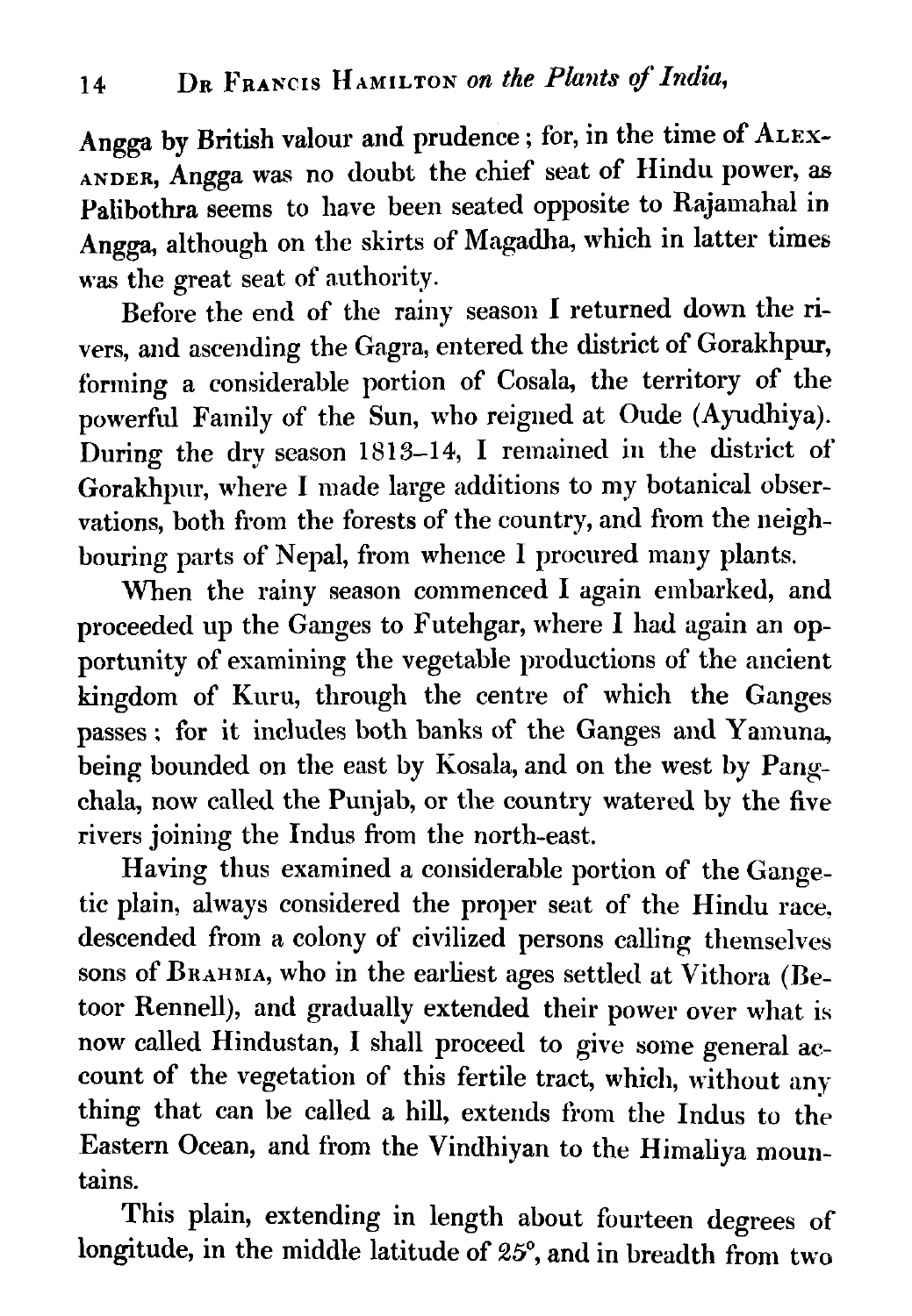Angga by British valour and prudence ; for, in the time **of** ALEX-**AXDEn,** Angga was no doubt the chief seat of Hindu power, as Palibothra seems to have been seated opposite to Rajamahal in Angga, although on the skirts of Magadha, which in latter times was the great seat of authority.

Before the end of the rainy season I returned down the rivers, and ascending the Gagra, entered the district of Gorakhpur, forming a considerable portion of Cosala, the territory of the powerful Family of the Sun, who reigned at Oude (Ayudhiya). During the dry season  $1813-14$ , I remained in the district of Gorakhpur, where I made large additions to my botanical observations, both from the forests of the country, and from the neighbouring parts of Nepal, from whence 1 procured many plants.

When the rainy season commenced I again embarked, and proceeded up the Ganges to Futehgar, where 1 had again an opportunity of examining the vegetable productions of the ancient kingdom of Kuru, through the centre of which the Ganges passes; for it includes both banks of the Ganges and Yamuna, being bounded on the east by Kosala, and on the west by Pangchala, now called the Punjab, or the country watered by the five rivers joining the Indus from the north-east.

Having thus examined a considerable portion of the Gangetic plain, always considered the proper seat of the Hindu race. descended from a colony of civilized persons calling themselves sons of BRAHMA, who in the earliest ages settled at Vithora (Betoor Rennell), and gradually extended their power over what is now called Hindustan, I shall proceed to give some general account of the vegetation of this fertile tract, which, without any thing that can be called a hill, extends from the Indus to the Eastern Ocean, and from the Vindhiyan to the Himaliya mountains.

This plain, extending in length about fourteen degrees of longitude, in the middle latitude of 25°, and in breadth from two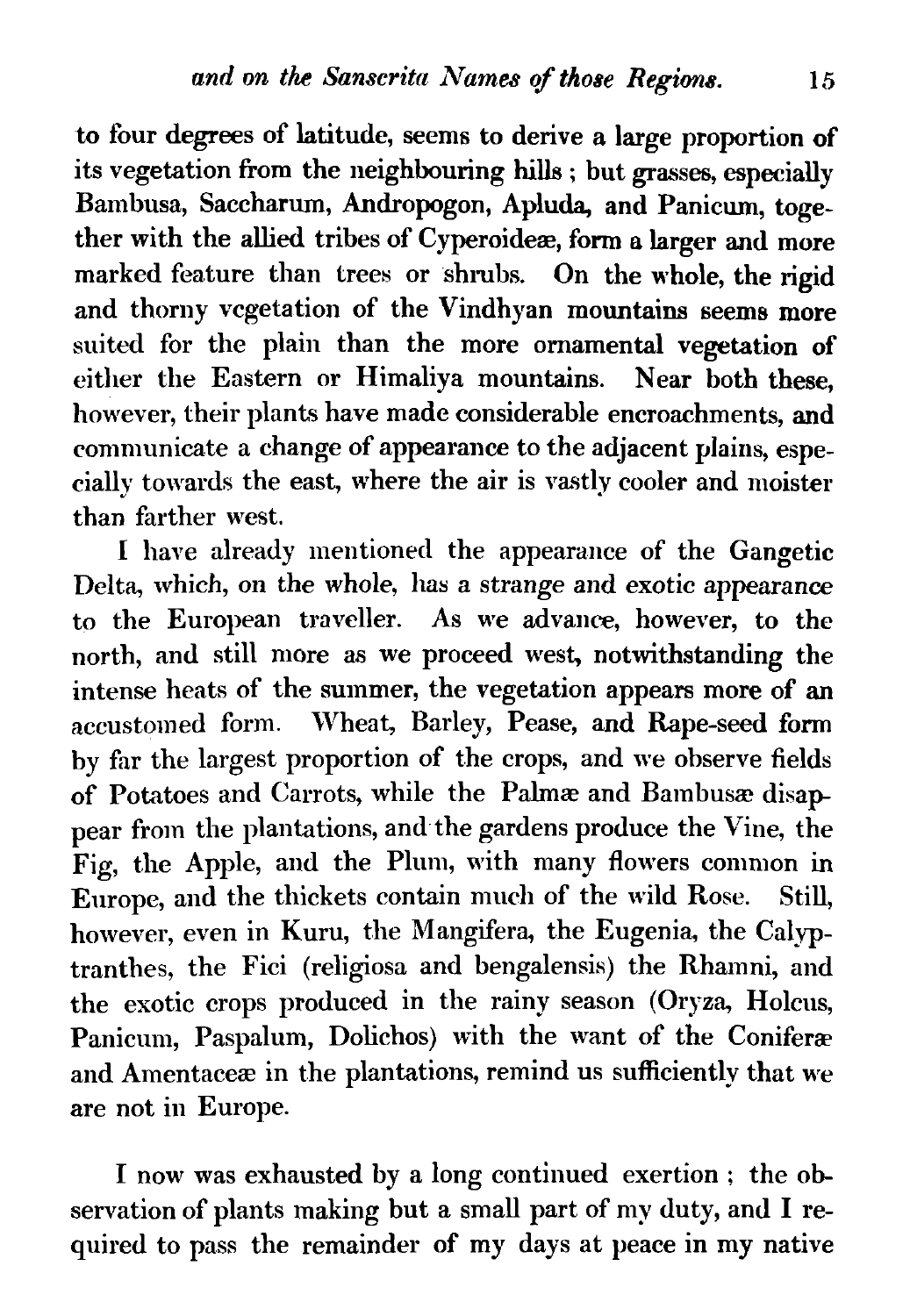to four degrees of latitude, seems to derive a large proportion of its vegetation from the neighbouring hills ; but grasses, especially Banlbusa, Saccharurn, Andropogon, Apluda, and Panicum, together with the allied tribes of Cyperoideæ, form a larger and more marked feature than trees or shrubs. On the whole, the rigid and thorny vegetation of the Vindhyan mountains seems more suited for the plain than the more ornamental vegetation of either the Eastern or Himaliya mountains. Near both these, however, their plants have made considerable encroachments, and communicate a change of appearance to the adjacent plains, especially towards the east, where the air is vastly cooler and moister than farther west.

I have already mentioned the appearance of the Gangetic Delta, which, on the whole, has a strange and exotic appearance to the European traveller. As we advance, however, to the north, and still more as we proceed west, notwithstanding the intense heats of the summer, the vegetation appears more of an accustomed form. Wheat, Barley, Pease, and Rape-seed form by far the largest proportion of the crops, and we observe fields of Potatoes and Carrots, while the Palmæ and Bambusæ disappear from the plantations, and the gardens produce the Vine, the Fig, the Apple, and the Plum, with many flowers common in Europe, and the thickets contain much of the wild Rose. Still, however, even in Kuru, the Mangifera, the Eugenia, the Calyptranthes, the Fici (religiosa and bengalensis) the Rhamni, and the exotic crops produced in the rainy season (Oryza, Holcus, Panicum, Paspalum, Dolichos) with the want of the Coniferæ and Amentacea in the plantations, remind us sufficiently that we are not in Europe.

I now was exhausted by a long continued exertion ; the observation of plants making but a small part of my duty, and I required to pass the remainder of my days at peace in my native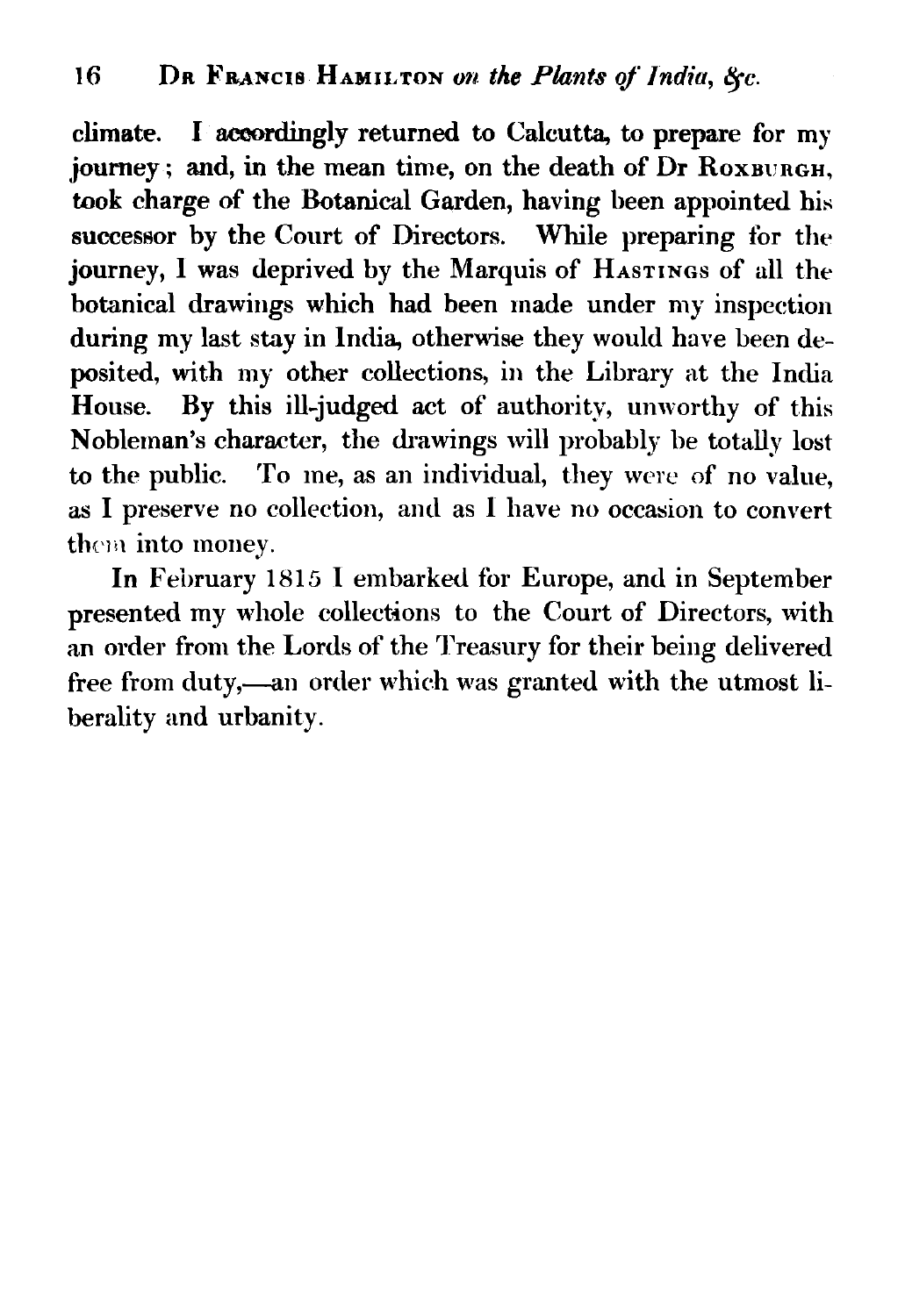climate. I accordingly returned to Calcutta, to prepare for my journey; and, in the mean time, on the death of Dr ROXBURGH, took charge of the Botanical Garden, having been appointed his successor by the Court of Directors. While preparing for the journey, 1 was deprived by the Marquis of HASTINGS of all the botanical drawings which had been made under my inspection during my last stay in India, otherwise they would have been deposited, with my other collections, in the Library at the India House. **By** this ill-judged act of authority, unworthy of this Nobleman's character, the drawings will probably be totally lost to the public. To me, as an individual, they were of no value, as I preserve no collection, and as 1 have no occasion to convert them into money.

In February 1815 I embarked for Europe, and in September presented my whole collections to the Court of Directors, with an order from the Lords of the Treasury for their being delivered free from duty,-an order which was granted with the utmost liberality and urbanity.